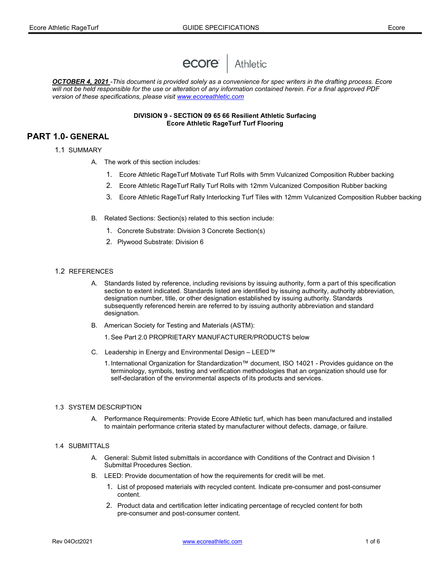

OCTOBER 4, 2021 -This document is provided solely as a convenience for spec writers in the drafting process. Ecore will not be held responsible for the use or alteration of any information contained herein. For a final approved PDF version of these specifications, please visit www.ecoreathletic.com

#### DIVISION 9 - SECTION 09 65 66 Resilient Athletic Surfacing Ecore Athletic RageTurf Turf Flooring

# PART 1.0- GENERAL

- 1.1 SUMMARY
	- A. The work of this section includes:
		- 1. Ecore Athletic RageTurf Motivate Turf Rolls with 5mm Vulcanized Composition Rubber backing
		- 2. Ecore Athletic RageTurf Rally Turf Rolls with 12mm Vulcanized Composition Rubber backing
		- 3. Ecore Athletic RageTurf Rally Interlocking Turf Tiles with 12mm Vulcanized Composition Rubber backing
	- B. Related Sections: Section(s) related to this section include:
		- 1. Concrete Substrate: Division 3 Concrete Section(s)
		- 2. Plywood Substrate: Division 6
- 1.2 REFERENCES
	- A. Standards listed by reference, including revisions by issuing authority, form a part of this specification section to extent indicated. Standards listed are identified by issuing authority, authority abbreviation, designation number, title, or other designation established by issuing authority. Standards subsequently referenced herein are referred to by issuing authority abbreviation and standard designation.
	- B. American Society for Testing and Materials (ASTM):
		- 1. See Part 2.0 PROPRIETARY MANUFACTURER/PRODUCTS below
	- C. Leadership in Energy and Environmental Design LEED™
		- 1. International Organization for Standardization™ document, ISO 14021 Provides guidance on the terminology, symbols, testing and verification methodologies that an organization should use for self-declaration of the environmental aspects of its products and services.

#### 1.3 SYSTEM DESCRIPTION

A. Performance Requirements: Provide Ecore Athletic turf, which has been manufactured and installed to maintain performance criteria stated by manufacturer without defects, damage, or failure.

#### 1.4 SUBMITTALS

- A. General: Submit listed submittals in accordance with Conditions of the Contract and Division 1 Submittal Procedures Section.
- B. LEED: Provide documentation of how the requirements for credit will be met.
	- 1. List of proposed materials with recycled content. Indicate pre-consumer and post-consumer content.
	- 2. Product data and certification letter indicating percentage of recycled content for both pre-consumer and post-consumer content.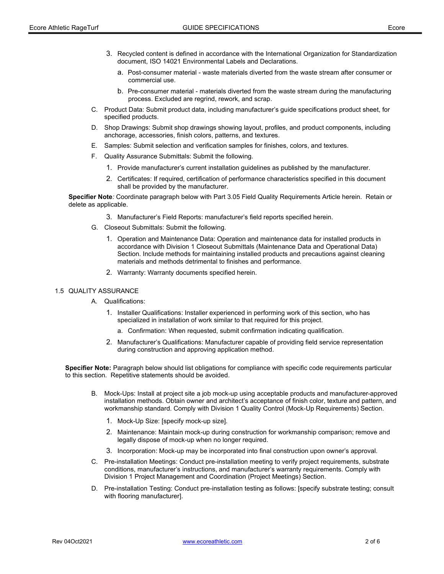- 3. Recycled content is defined in accordance with the International Organization for Standardization document, ISO 14021 Environmental Labels and Declarations.
	- a. Post-consumer material waste materials diverted from the waste stream after consumer or commercial use.
	- b. Pre-consumer material materials diverted from the waste stream during the manufacturing process. Excluded are regrind, rework, and scrap.
- C. Product Data: Submit product data, including manufacturer's guide specifications product sheet, for specified products.
- D. Shop Drawings: Submit shop drawings showing layout, profiles, and product components, including anchorage, accessories, finish colors, patterns, and textures.
- E. Samples: Submit selection and verification samples for finishes, colors, and textures.
- F. Quality Assurance Submittals: Submit the following.
	- 1. Provide manufacturer's current installation guidelines as published by the manufacturer.
	- 2. Certificates: If required, certification of performance characteristics specified in this document shall be provided by the manufacturer.

Specifier Note: Coordinate paragraph below with Part 3.05 Field Quality Requirements Article herein. Retain or delete as applicable.

- 3. Manufacturer's Field Reports: manufacturer's field reports specified herein.
- G. Closeout Submittals: Submit the following.
	- 1. Operation and Maintenance Data: Operation and maintenance data for installed products in accordance with Division 1 Closeout Submittals (Maintenance Data and Operational Data) Section. Include methods for maintaining installed products and precautions against cleaning materials and methods detrimental to finishes and performance.
	- 2. Warranty: Warranty documents specified herein.

#### 1.5 QUALITY ASSURANCE

- A. Qualifications:
	- 1. Installer Qualifications: Installer experienced in performing work of this section, who has specialized in installation of work similar to that required for this project.
		- a. Confirmation: When requested, submit confirmation indicating qualification.
	- 2. Manufacturer's Qualifications: Manufacturer capable of providing field service representation during construction and approving application method.

Specifier Note: Paragraph below should list obligations for compliance with specific code requirements particular to this section. Repetitive statements should be avoided.

- B. Mock-Ups: Install at project site a job mock-up using acceptable products and manufacturer-approved installation methods. Obtain owner and architect's acceptance of finish color, texture and pattern, and workmanship standard. Comply with Division 1 Quality Control (Mock-Up Requirements) Section.
	- 1. Mock-Up Size: [specify mock-up size].
	- 2. Maintenance: Maintain mock-up during construction for workmanship comparison; remove and legally dispose of mock-up when no longer required.
	- 3. Incorporation: Mock-up may be incorporated into final construction upon owner's approval.
- C. Pre-installation Meetings: Conduct pre-installation meeting to verify project requirements, substrate conditions, manufacturer's instructions, and manufacturer's warranty requirements. Comply with Division 1 Project Management and Coordination (Project Meetings) Section.
- D. Pre-installation Testing: Conduct pre-installation testing as follows: [specify substrate testing; consult with flooring manufacturer].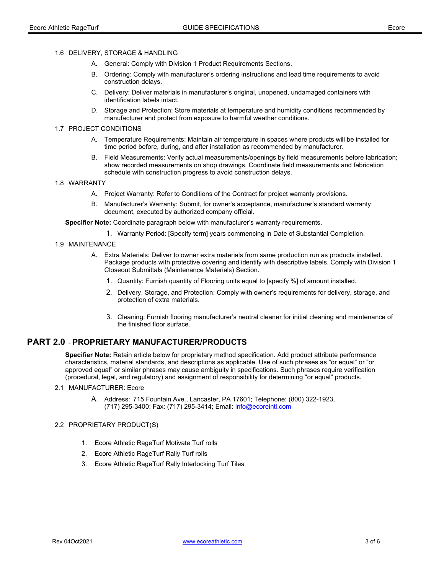#### 1.6 DELIVERY, STORAGE & HANDLING

- A. General: Comply with Division 1 Product Requirements Sections.
- B. Ordering: Comply with manufacturer's ordering instructions and lead time requirements to avoid construction delays.
- C. Delivery: Deliver materials in manufacturer's original, unopened, undamaged containers with identification labels intact.
- D. Storage and Protection: Store materials at temperature and humidity conditions recommended by manufacturer and protect from exposure to harmful weather conditions.

#### 1.7 PROJECT CONDITIONS

- A. Temperature Requirements: Maintain air temperature in spaces where products will be installed for time period before, during, and after installation as recommended by manufacturer.
- B. Field Measurements: Verify actual measurements/openings by field measurements before fabrication; show recorded measurements on shop drawings. Coordinate field measurements and fabrication schedule with construction progress to avoid construction delays.

#### 1.8 WARRANTY

- A. Project Warranty: Refer to Conditions of the Contract for project warranty provisions.
- B. Manufacturer's Warranty: Submit, for owner's acceptance, manufacturer's standard warranty document, executed by authorized company official.

Specifier Note: Coordinate paragraph below with manufacturer's warranty requirements.

1. Warranty Period: [Specify term] years commencing in Date of Substantial Completion.

## 1.9 MAINTENANCE

- A. Extra Materials: Deliver to owner extra materials from same production run as products installed. Package products with protective covering and identify with descriptive labels. Comply with Division 1 Closeout Submittals (Maintenance Materials) Section.
	- 1. Quantity: Furnish quantity of Flooring units equal to [specify %] of amount installed.
	- 2. Delivery, Storage, and Protection: Comply with owner's requirements for delivery, storage, and protection of extra materials.
	- 3. Cleaning: Furnish flooring manufacturer's neutral cleaner for initial cleaning and maintenance of the finished floor surface.

# PART 2.0 - PROPRIETARY MANUFACTURER/PRODUCTS

Specifier Note: Retain article below for proprietary method specification. Add product attribute performance characteristics, material standards, and descriptions as applicable. Use of such phrases as "or equal" or "or approved equal" or similar phrases may cause ambiguity in specifications. Such phrases require verification (procedural, legal, and regulatory) and assignment of responsibility for determining "or equal" products.

#### 2.1 MANUFACTURER: Ecore

A. Address: 715 Fountain Ave., Lancaster, PA 17601; Telephone: (800) 322-1923, (717) 295-3400; Fax: (717) 295-3414; Email: info@ecoreintl.com

#### 2.2 PROPRIETARY PRODUCT(S)

- 1. Ecore Athletic RageTurf Motivate Turf rolls
- 2. Ecore Athletic RageTurf Rally Turf rolls
- 3. Ecore Athletic RageTurf Rally Interlocking Turf Tiles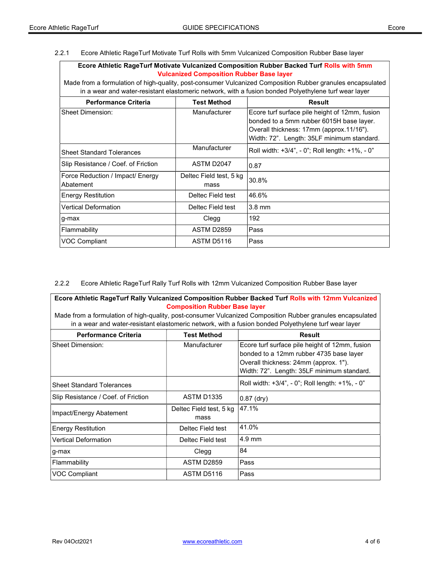2.2.1 Ecore Athletic RageTurf Motivate Turf Rolls with 5mm Vulcanized Composition Rubber Base layer

| <b>Ecore Athletic RageTurf Motivate Vulcanized Composition Rubber Backed Turf Rolls with 5mm</b>           |  |  |  |  |
|------------------------------------------------------------------------------------------------------------|--|--|--|--|
| <b>Vulcanized Composition Rubber Base layer</b>                                                            |  |  |  |  |
| lade from a formulation of high-guality, post-consumer Vulcanized Composition Rubber granules encapsulated |  |  |  |  |

Made from a formulation of high-quality, post-consumer Vulcanized Composition Rubber granules encapsulated in a wear and water-resistant elastomeric network, with a fusion bonded Polyethylene turf wear layer

| <b>Performance Criteria</b>                   | <b>Test Method</b>              | <b>Result</b>                                                                                                                                                                        |
|-----------------------------------------------|---------------------------------|--------------------------------------------------------------------------------------------------------------------------------------------------------------------------------------|
| Sheet Dimension:                              | Manufacturer                    | Ecore turf surface pile height of 12mm, fusion<br>bonded to a 5mm rubber 6015H base layer.<br>Overall thickness: 17mm (approx.11/16").<br>Width: 72". Length: 35LF minimum standard. |
| <b>Sheet Standard Tolerances</b>              | Manufacturer                    | Roll width: +3/4", - 0"; Roll length: +1%, - 0"                                                                                                                                      |
| Slip Resistance / Coef. of Friction           | ASTM D2047                      | 0.87                                                                                                                                                                                 |
| Force Reduction / Impact/ Energy<br>Abatement | Deltec Field test, 5 kg<br>mass | 30.8%                                                                                                                                                                                |
| <b>Energy Restitution</b>                     | Deltec Field test               | 46.6%                                                                                                                                                                                |
| <b>Vertical Deformation</b>                   | Deltec Field test               | $3.8 \text{ mm}$                                                                                                                                                                     |
| g-max                                         | Clegg                           | 192                                                                                                                                                                                  |
| Flammability                                  | <b>ASTM D2859</b>               | Pass                                                                                                                                                                                 |
| <b>VOC Compliant</b>                          | ASTM D5116                      | Pass                                                                                                                                                                                 |

2.2.2 Ecore Athletic RageTurf Rally Turf Rolls with 12mm Vulcanized Composition Rubber Base layer

Ecore Athletic RageTurf Rally Vulcanized Composition Rubber Backed Turf Rolls with 12mm Vulcanized Composition Rubber Base layer

Made from a formulation of high-quality, post-consumer Vulcanized Composition Rubber granules encapsulated in a wear and water-resistant elastomeric network, with a fusion bonded Polyethylene turf wear layer

| <b>Performance Criteria</b>         | <b>Test Method</b>              | Result                                                                                                                                                                           |
|-------------------------------------|---------------------------------|----------------------------------------------------------------------------------------------------------------------------------------------------------------------------------|
| <b>Sheet Dimension:</b>             | Manufacturer                    | Ecore turf surface pile height of 12mm, fusion<br>bonded to a 12mm rubber 4735 base layer<br>Overall thickness: 24mm (approx. 1").<br>Width: 72". Length: 35LF minimum standard. |
| <b>Sheet Standard Tolerances</b>    |                                 | Roll width: +3/4", - 0"; Roll length: +1%, - 0"                                                                                                                                  |
| Slip Resistance / Coef. of Friction | <b>ASTM D1335</b>               | $ 0.87$ (dry)                                                                                                                                                                    |
| Impact/Energy Abatement             | Deltec Field test, 5 kg<br>mass | 47.1%                                                                                                                                                                            |
| <b>Energy Restitution</b>           | Deltec Field test               | 41.0%                                                                                                                                                                            |
| <b>Vertical Deformation</b>         | Deltec Field test               | 4.9 mm                                                                                                                                                                           |
| g-max                               | Clegg                           | 84                                                                                                                                                                               |
| Flammability                        | <b>ASTM D2859</b>               | Pass                                                                                                                                                                             |
| VOC Compliant                       | ASTM D5116                      | Pass                                                                                                                                                                             |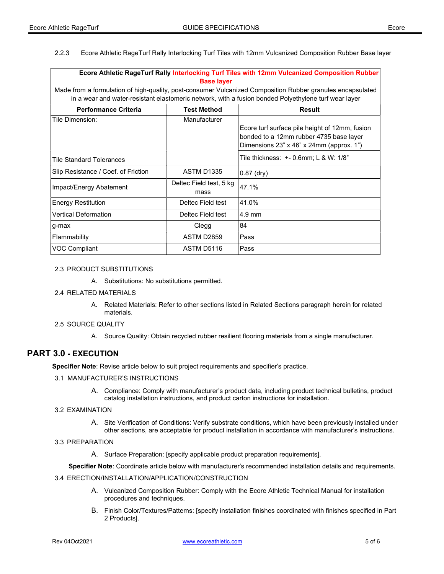2.2.3 Ecore Athletic RageTurf Rally Interlocking Turf Tiles with 12mm Vulcanized Composition Rubber Base layer

| Ecore Athletic RageTurf Rally Interlocking Turf Tiles with 12mm Vulcanized Composition Rubber              |                                 |                                                                                                                                       |  |  |  |
|------------------------------------------------------------------------------------------------------------|---------------------------------|---------------------------------------------------------------------------------------------------------------------------------------|--|--|--|
| <b>Base layer</b>                                                                                          |                                 |                                                                                                                                       |  |  |  |
| Made from a formulation of high-quality, post-consumer Vulcanized Composition Rubber granules encapsulated |                                 |                                                                                                                                       |  |  |  |
| in a wear and water-resistant elastomeric network, with a fusion bonded Polyethylene turf wear layer       |                                 |                                                                                                                                       |  |  |  |
| <b>Performance Criteria</b>                                                                                | <b>Test Method</b>              | <b>Result</b>                                                                                                                         |  |  |  |
| Tile Dimension:                                                                                            | Manufacturer                    |                                                                                                                                       |  |  |  |
|                                                                                                            |                                 | Ecore turf surface pile height of 12mm, fusion<br>bonded to a 12mm rubber 4735 base layer<br>Dimensions 23" x 46" x 24mm (approx. 1") |  |  |  |
| <b>Tile Standard Tolerances</b>                                                                            |                                 |                                                                                                                                       |  |  |  |
| Slip Resistance / Coef. of Friction                                                                        | <b>ASTM D1335</b>               | $0.87$ (dry)                                                                                                                          |  |  |  |
| Impact/Energy Abatement                                                                                    | Deltec Field test, 5 kg<br>mass | 47.1%                                                                                                                                 |  |  |  |
| <b>Energy Restitution</b>                                                                                  | Deltec Field test               | 41.0%                                                                                                                                 |  |  |  |
| <b>Vertical Deformation</b>                                                                                | Deltec Field test               | $4.9 \text{ mm}$                                                                                                                      |  |  |  |
| g-max                                                                                                      | Clegg                           | 84                                                                                                                                    |  |  |  |
| Flammability                                                                                               | <b>ASTM D2859</b>               | Pass                                                                                                                                  |  |  |  |
| <b>VOC Compliant</b>                                                                                       | ASTM D5116                      | Pass                                                                                                                                  |  |  |  |

#### 2.3 PRODUCT SUBSTITUTIONS

A. Substitutions: No substitutions permitted.

#### 2.4 RELATED MATERIALS

A. Related Materials: Refer to other sections listed in Related Sections paragraph herein for related materials.

#### 2.5 SOURCE QUALITY

A. Source Quality: Obtain recycled rubber resilient flooring materials from a single manufacturer.

# PART 3.0 - EXECUTION

Specifier Note: Revise article below to suit project requirements and specifier's practice.

- 3.1 MANUFACTURER'S INSTRUCTIONS
	- A. Compliance: Comply with manufacturer's product data, including product technical bulletins, product catalog installation instructions, and product carton instructions for installation.

#### 3.2 EXAMINATION

- A. Site Verification of Conditions: Verify substrate conditions, which have been previously installed under other sections, are acceptable for product installation in accordance with manufacturer's instructions.
- 3.3 PREPARATION
	- A. Surface Preparation: [specify applicable product preparation requirements].

Specifier Note: Coordinate article below with manufacturer's recommended installation details and requirements.

- 3.4 ERECTION/INSTALLATION/APPLICATION/CONSTRUCTION
	- A. Vulcanized Composition Rubber: Comply with the Ecore Athletic Technical Manual for installation procedures and techniques.
	- B. Finish Color/Textures/Patterns: [specify installation finishes coordinated with finishes specified in Part 2 Products].